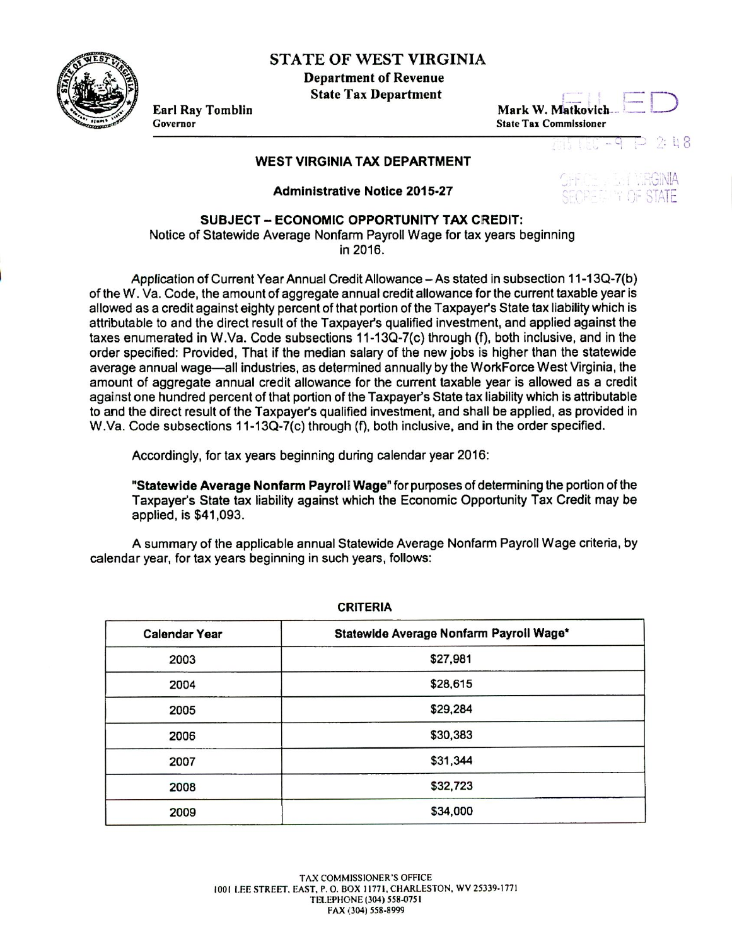STATE OF WEST VIRGINIA

Department of **Revenue State Tax Department**

**Earl Ray Tomblin Mark W. Matkovlch State Tax Commissioner** 

## $2.18$

## **WEST VIRGINIA TAX DEPARTMENT**

**Administrative Notice 2015-27**



## **SUBJECT - ECONOMIC OPPORTUNITY TAX CREDIT:**

Notice of Statewide Average Nonfarm Payroll Wage for tax years beginning in 2016.

Application of Current Year Annual Credit Allowance - As stated in subsection 11-13Q-7(b) of the W. Va. Code, the amount of aggregate annual credit allowance for the current taxable year is allowed as a credit against eighty percent of that portion of the Taxpayer's State tax liability which is attributable to and the direct result of the Taxpayer's qualified investment, and applied against the taxes enumerated in W.Va. Code subsections 11-13Q-7(c) through (f), both inclusive, and in the order specified: Provided, That if the median salary of the new jobs is higher than the statewide average annual wage—all industries, as determined annually by the WorkForce West Virginia, the amount of aggregate annual credit allowance for the current taxable year is allowed as a credit against one hundred percent of that portion of the Taxpayer's State tax liability which is attributable to and the direct result of the Taxpayer's qualified investment, and shall be applied, as provided in W.Va. Code subsections 11-13Q-7(c) through (f), both inclusive, and in the order specified.

Accordingly, for tax years beginning during calendar year 2016:

**"Statewide Average Nonfarm Payroll Wage"** for purposes of determining the portion of the Taxpayer's State tax liability against which the Economic Opportunity Tax Credit may be applied, is \$41,093.

A summary of the applicable annual Statewide Average Nonfarm Payroll Wage criteria, by calendar year, for tax years beginning in such years, follows:

| <b>Calendar Year</b> | Statewide Average Nonfarm Payroll Wage* |
|----------------------|-----------------------------------------|
| 2003                 | \$27,981                                |
| 2004                 | \$28,615                                |
| 2005                 | \$29,284                                |
| 2006                 | \$30,383                                |
| 2007                 | \$31,344                                |
| 2008                 | \$32,723                                |
| 2009                 | \$34,000                                |

**CRITERIA**